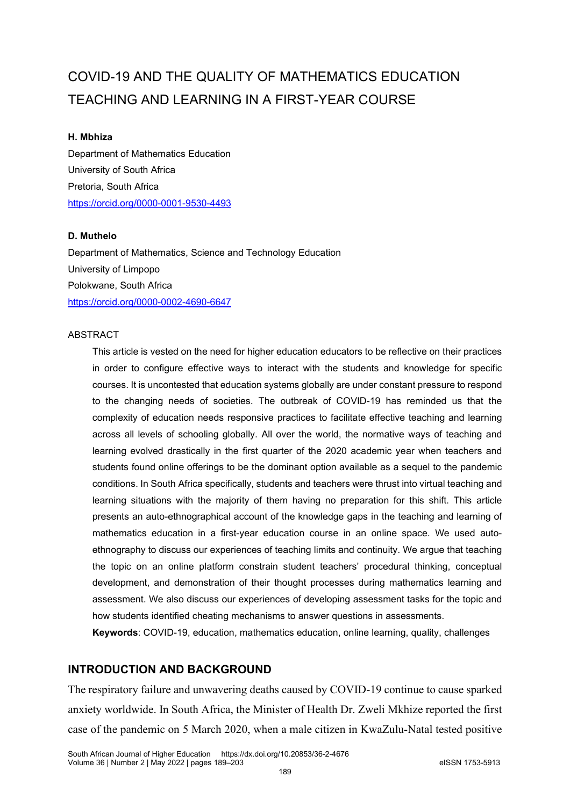# COVID-19 AND THE QUALITY OF MATHEMATICS EDUCATION TEACHING AND LEARNING IN A FIRST-YEAR COURSE

#### **H. Mbhiza**

Department of Mathematics Education University of South Africa Pretoria, South Africa <https://orcid.org/0000-0001-9530-4493>

#### **D. Muthelo**

Department of Mathematics, Science and Technology Education University of Limpopo Polokwane, South Africa <https://orcid.org/0000-0002-4690-6647>

#### ABSTRACT

This article is vested on the need for higher education educators to be reflective on their practices in order to configure effective ways to interact with the students and knowledge for specific courses. It is uncontested that education systems globally are under constant pressure to respond to the changing needs of societies. The outbreak of COVID-19 has reminded us that the complexity of education needs responsive practices to facilitate effective teaching and learning across all levels of schooling globally. All over the world, the normative ways of teaching and learning evolved drastically in the first quarter of the 2020 academic year when teachers and students found online offerings to be the dominant option available as a sequel to the pandemic conditions. In South Africa specifically, students and teachers were thrust into virtual teaching and learning situations with the majority of them having no preparation for this shift. This article presents an auto-ethnographical account of the knowledge gaps in the teaching and learning of mathematics education in a first-year education course in an online space. We used autoethnography to discuss our experiences of teaching limits and continuity. We argue that teaching the topic on an online platform constrain student teachers' procedural thinking, conceptual development, and demonstration of their thought processes during mathematics learning and assessment. We also discuss our experiences of developing assessment tasks for the topic and how students identified cheating mechanisms to answer questions in assessments.

**Keywords**: COVID-19, education, mathematics education, online learning, quality, challenges

# **INTRODUCTION AND BACKGROUND**

The respiratory failure and unwavering deaths caused by COVID-19 continue to cause sparked anxiety worldwide. In South Africa, the Minister of Health Dr. Zweli Mkhize reported the first case of the pandemic on 5 March 2020, when a male citizen in KwaZulu-Natal tested positive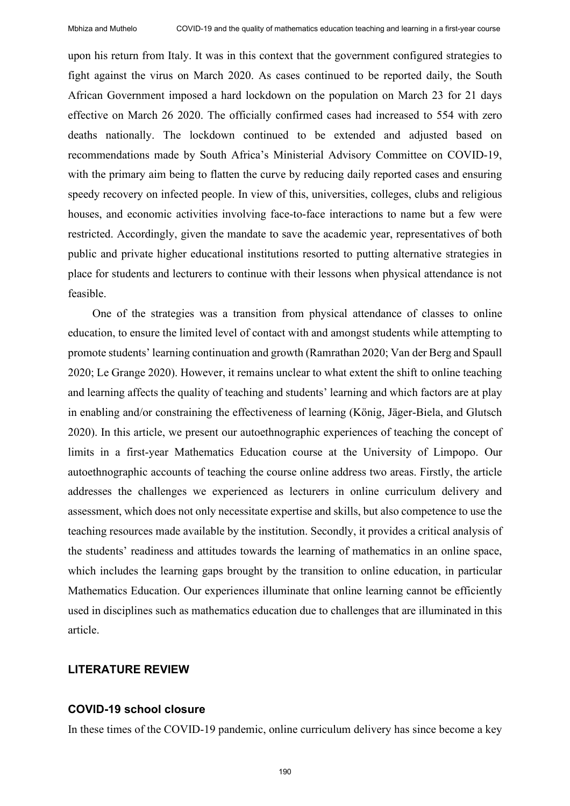upon his return from Italy. It was in this context that the government configured strategies to fight against the virus on March 2020. As cases continued to be reported daily, the South African Government imposed a hard lockdown on the population on March 23 for 21 days effective on March 26 2020. The officially confirmed cases had increased to 554 with zero deaths nationally. The lockdown continued to be extended and adjusted based on recommendations made by South Africa's Ministerial Advisory Committee on COVID-19, with the primary aim being to flatten the curve by reducing daily reported cases and ensuring speedy recovery on infected people. In view of this, universities, colleges, clubs and religious houses, and economic activities involving face-to-face interactions to name but a few were restricted. Accordingly, given the mandate to save the academic year, representatives of both public and private higher educational institutions resorted to putting alternative strategies in place for students and lecturers to continue with their lessons when physical attendance is not feasible.

One of the strategies was a transition from physical attendance of classes to online education, to ensure the limited level of contact with and amongst students while attempting to promote students' learning continuation and growth (Ramrathan 2020; Van der Berg and Spaull 2020; Le Grange 2020). However, it remains unclear to what extent the shift to online teaching and learning affects the quality of teaching and students' learning and which factors are at play in enabling and/or constraining the effectiveness of learning (König, Jäger-Biela, and Glutsch 2020). In this article, we present our autoethnographic experiences of teaching the concept of limits in a first-year Mathematics Education course at the University of Limpopo. Our autoethnographic accounts of teaching the course online address two areas. Firstly, the article addresses the challenges we experienced as lecturers in online curriculum delivery and assessment, which does not only necessitate expertise and skills, but also competence to use the teaching resources made available by the institution. Secondly, it provides a critical analysis of the students' readiness and attitudes towards the learning of mathematics in an online space, which includes the learning gaps brought by the transition to online education, in particular Mathematics Education. Our experiences illuminate that online learning cannot be efficiently used in disciplines such as mathematics education due to challenges that are illuminated in this article.

## **LITERATURE REVIEW**

#### **COVID-19 school closure**

In these times of the COVID-19 pandemic, online curriculum delivery has since become a key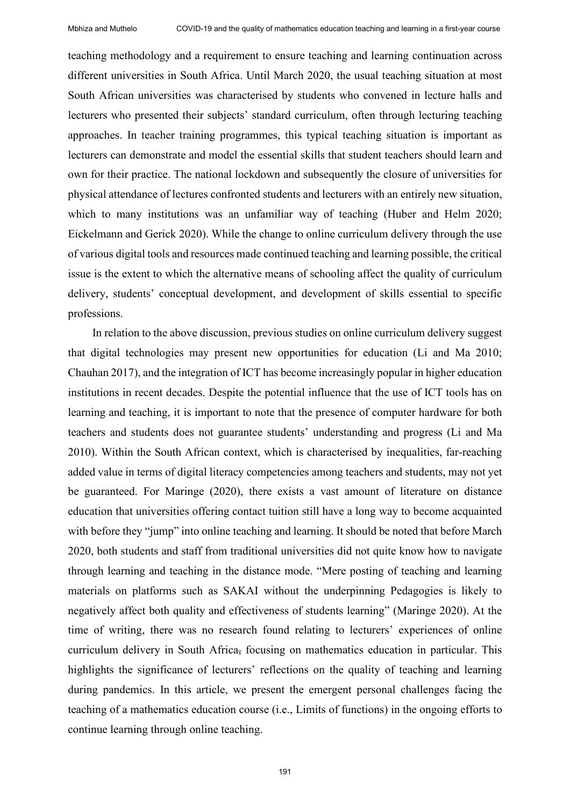teaching methodology and a requirement to ensure teaching and learning continuation across different universities in South Africa. Until March 2020, the usual teaching situation at most South African universities was characterised by students who convened in lecture halls and lecturers who presented their subjects' standard curriculum, often through lecturing teaching approaches. In teacher training programmes, this typical teaching situation is important as lecturers can demonstrate and model the essential skills that student teachers should learn and own for their practice. The national lockdown and subsequently the closure of universities for physical attendance of lectures confronted students and lecturers with an entirely new situation, which to many institutions was an unfamiliar way of teaching (Huber and Helm 2020; Eickelmann and Gerick 2020). While the change to online curriculum delivery through the use of various digital tools and resources made continued teaching and learning possible, the critical issue is the extent to which the alternative means of schooling affect the quality of curriculum delivery, students' conceptual development, and development of skills essential to specific professions.

In relation to the above discussion, previous studies on online curriculum delivery suggest that digital technologies may present new opportunities for education (Li and Ma 2010; Chauhan 2017), and the integration of ICT has become increasingly popular in higher education institutions in recent decades. Despite the potential influence that the use of ICT tools has on learning and teaching, it is important to note that the presence of computer hardware for both teachers and students does not guarantee students' understanding and progress (Li and Ma 2010). Within the South African context, which is characterised by inequalities, far-reaching added value in terms of digital literacy competencies among teachers and students, may not yet be guaranteed. For Maringe (2020), there exists a vast amount of literature on distance education that universities offering contact tuition still have a long way to become acquainted with before they "jump" into online teaching and learning. It should be noted that before March 2020, both students and staff from traditional universities did not quite know how to navigate through learning and teaching in the distance mode. "Mere posting of teaching and learning materials on platforms such as SAKAI without the underpinning Pedagogies is likely to negatively affect both quality and effectiveness of students learning" (Maringe 2020). At the time of writing, there was no research found relating to lecturers' experiences of online curriculum delivery in South Africa, focusing on mathematics education in particular. This highlights the significance of lecturers' reflections on the quality of teaching and learning during pandemics. In this article, we present the emergent personal challenges facing the teaching of a mathematics education course (i.e., Limits of functions) in the ongoing efforts to continue learning through online teaching.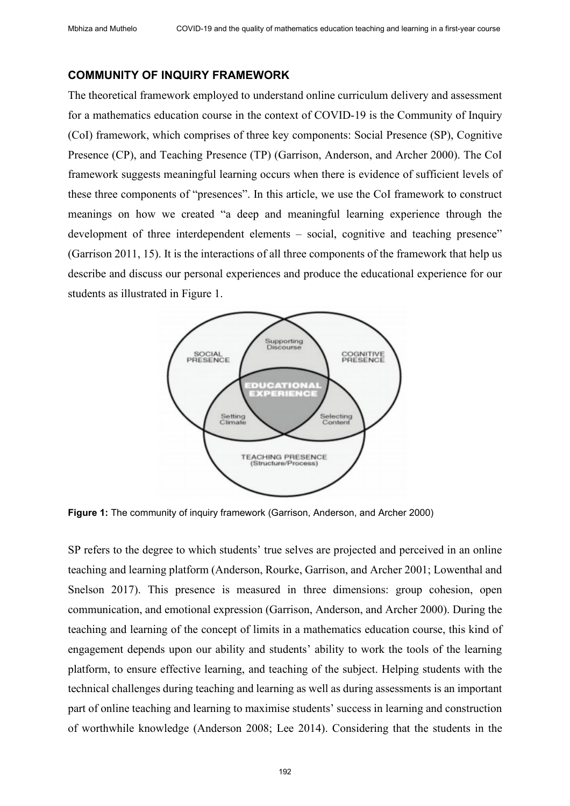#### **COMMUNITY OF INQUIRY FRAMEWORK**

The theoretical framework employed to understand online curriculum delivery and assessment for a mathematics education course in the context of COVID-19 is the Community of Inquiry (CoI) framework, which comprises of three key components: Social Presence (SP), Cognitive Presence (CP), and Teaching Presence (TP) (Garrison, Anderson, and Archer 2000). The CoI framework suggests meaningful learning occurs when there is evidence of sufficient levels of these three components of "presences". In this article, we use the CoI framework to construct meanings on how we created "a deep and meaningful learning experience through the development of three interdependent elements – social, cognitive and teaching presence" (Garrison 2011, 15). It is the interactions of all three components of the framework that help us describe and discuss our personal experiences and produce the educational experience for our students as illustrated in Figure 1.



**Figure 1:** The community of inquiry framework (Garrison, Anderson, and Archer 2000)

SP refers to the degree to which students' true selves are projected and perceived in an online teaching and learning platform (Anderson, Rourke, Garrison, and Archer 2001; Lowenthal and Snelson 2017). This presence is measured in three dimensions: group cohesion, open communication, and emotional expression (Garrison, Anderson, and Archer 2000). During the teaching and learning of the concept of limits in a mathematics education course, this kind of engagement depends upon our ability and students' ability to work the tools of the learning platform, to ensure effective learning, and teaching of the subject. Helping students with the technical challenges during teaching and learning as well as during assessments is an important part of online teaching and learning to maximise students' success in learning and construction of worthwhile knowledge (Anderson 2008; Lee 2014). Considering that the students in the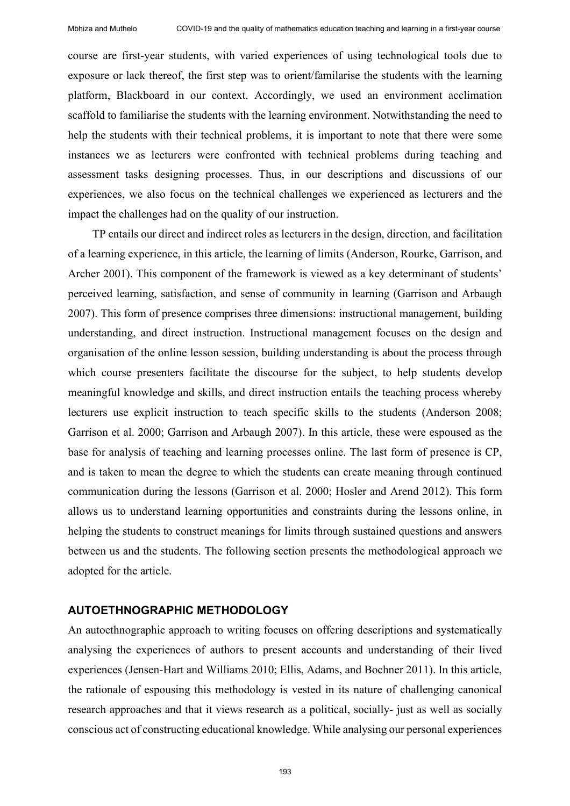course are first-year students, with varied experiences of using technological tools due to exposure or lack thereof, the first step was to orient/familarise the students with the learning platform, Blackboard in our context. Accordingly, we used an environment acclimation scaffold to familiarise the students with the learning environment. Notwithstanding the need to help the students with their technical problems, it is important to note that there were some instances we as lecturers were confronted with technical problems during teaching and assessment tasks designing processes. Thus, in our descriptions and discussions of our experiences, we also focus on the technical challenges we experienced as lecturers and the impact the challenges had on the quality of our instruction.

TP entails our direct and indirect roles as lecturers in the design, direction, and facilitation of a learning experience, in this article, the learning of limits (Anderson, Rourke, Garrison, and Archer 2001). This component of the framework is viewed as a key determinant of students' perceived learning, satisfaction, and sense of community in learning (Garrison and Arbaugh 2007). This form of presence comprises three dimensions: instructional management, building understanding, and direct instruction. Instructional management focuses on the design and organisation of the online lesson session, building understanding is about the process through which course presenters facilitate the discourse for the subject, to help students develop meaningful knowledge and skills, and direct instruction entails the teaching process whereby lecturers use explicit instruction to teach specific skills to the students (Anderson 2008; Garrison et al. 2000; Garrison and Arbaugh 2007). In this article, these were espoused as the base for analysis of teaching and learning processes online. The last form of presence is CP, and is taken to mean the degree to which the students can create meaning through continued communication during the lessons (Garrison et al. 2000; Hosler and Arend 2012). This form allows us to understand learning opportunities and constraints during the lessons online, in helping the students to construct meanings for limits through sustained questions and answers between us and the students. The following section presents the methodological approach we adopted for the article.

#### **AUTOETHNOGRAPHIC METHODOLOGY**

An autoethnographic approach to writing focuses on offering descriptions and systematically analysing the experiences of authors to present accounts and understanding of their lived experiences (Jensen-Hart and Williams 2010; Ellis, Adams, and Bochner 2011). In this article, the rationale of espousing this methodology is vested in its nature of challenging canonical research approaches and that it views research as a political, socially- just as well as socially conscious act of constructing educational knowledge. While analysing our personal experiences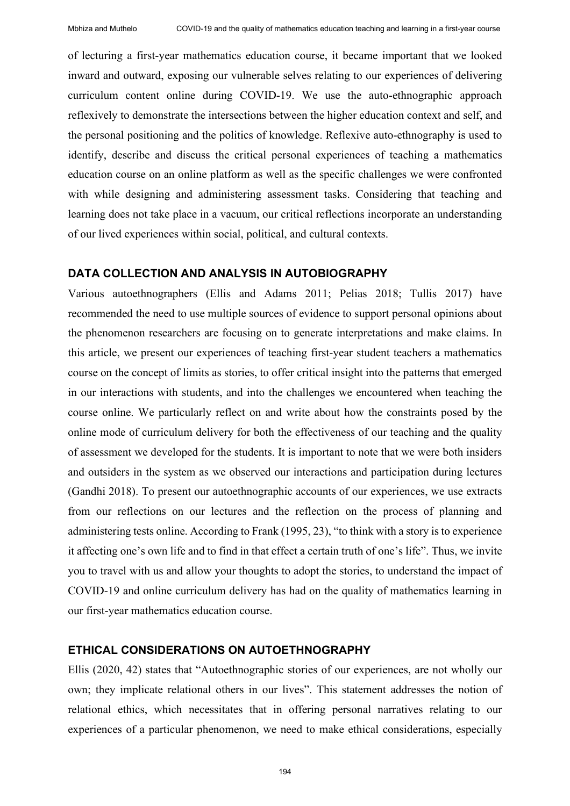of lecturing a first-year mathematics education course, it became important that we looked inward and outward, exposing our vulnerable selves relating to our experiences of delivering curriculum content online during COVID-19. We use the auto-ethnographic approach reflexively to demonstrate the intersections between the higher education context and self, and the personal positioning and the politics of knowledge. Reflexive auto-ethnography is used to identify, describe and discuss the critical personal experiences of teaching a mathematics education course on an online platform as well as the specific challenges we were confronted with while designing and administering assessment tasks. Considering that teaching and learning does not take place in a vacuum, our critical reflections incorporate an understanding of our lived experiences within social, political, and cultural contexts.

## **DATA COLLECTION AND ANALYSIS IN AUTOBIOGRAPHY**

Various autoethnographers (Ellis and Adams 2011; Pelias 2018; Tullis 2017) have recommended the need to use multiple sources of evidence to support personal opinions about the phenomenon researchers are focusing on to generate interpretations and make claims. In this article, we present our experiences of teaching first-year student teachers a mathematics course on the concept of limits as stories, to offer critical insight into the patterns that emerged in our interactions with students, and into the challenges we encountered when teaching the course online. We particularly reflect on and write about how the constraints posed by the online mode of curriculum delivery for both the effectiveness of our teaching and the quality of assessment we developed for the students. It is important to note that we were both insiders and outsiders in the system as we observed our interactions and participation during lectures (Gandhi 2018). To present our autoethnographic accounts of our experiences, we use extracts from our reflections on our lectures and the reflection on the process of planning and administering tests online. According to Frank (1995, 23), "to think with a story is to experience it affecting one's own life and to find in that effect a certain truth of one's life". Thus, we invite you to travel with us and allow your thoughts to adopt the stories, to understand the impact of COVID-19 and online curriculum delivery has had on the quality of mathematics learning in our first-year mathematics education course.

## **ETHICAL CONSIDERATIONS ON AUTOETHNOGRAPHY**

Ellis (2020, 42) states that "Autoethnographic stories of our experiences, are not wholly our own; they implicate relational others in our lives". This statement addresses the notion of relational ethics, which necessitates that in offering personal narratives relating to our experiences of a particular phenomenon, we need to make ethical considerations, especially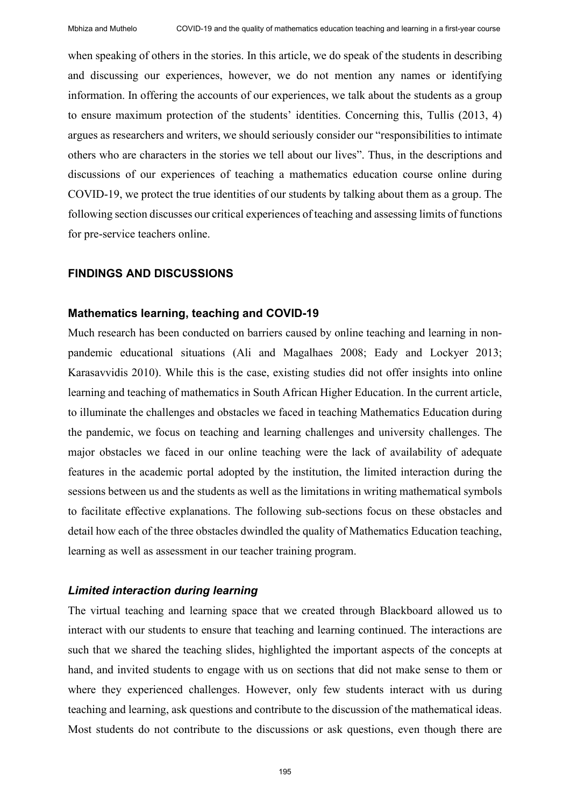when speaking of others in the stories. In this article, we do speak of the students in describing and discussing our experiences, however, we do not mention any names or identifying information. In offering the accounts of our experiences, we talk about the students as a group to ensure maximum protection of the students' identities. Concerning this, Tullis (2013, 4) argues as researchers and writers, we should seriously consider our "responsibilities to intimate others who are characters in the stories we tell about our lives". Thus, in the descriptions and discussions of our experiences of teaching a mathematics education course online during COVID-19, we protect the true identities of our students by talking about them as a group. The following section discusses our critical experiences of teaching and assessing limits of functions for pre-service teachers online.

# **FINDINGS AND DISCUSSIONS**

## **Mathematics learning, teaching and COVID-19**

Much research has been conducted on barriers caused by online teaching and learning in nonpandemic educational situations (Ali and Magalhaes 2008; Eady and Lockyer 2013; Karasavvidis 2010). While this is the case, existing studies did not offer insights into online learning and teaching of mathematics in South African Higher Education. In the current article, to illuminate the challenges and obstacles we faced in teaching Mathematics Education during the pandemic, we focus on teaching and learning challenges and university challenges. The major obstacles we faced in our online teaching were the lack of availability of adequate features in the academic portal adopted by the institution, the limited interaction during the sessions between us and the students as well as the limitations in writing mathematical symbols to facilitate effective explanations. The following sub-sections focus on these obstacles and detail how each of the three obstacles dwindled the quality of Mathematics Education teaching, learning as well as assessment in our teacher training program.

## *Limited interaction during learning*

The virtual teaching and learning space that we created through Blackboard allowed us to interact with our students to ensure that teaching and learning continued. The interactions are such that we shared the teaching slides, highlighted the important aspects of the concepts at hand, and invited students to engage with us on sections that did not make sense to them or where they experienced challenges. However, only few students interact with us during teaching and learning, ask questions and contribute to the discussion of the mathematical ideas. Most students do not contribute to the discussions or ask questions, even though there are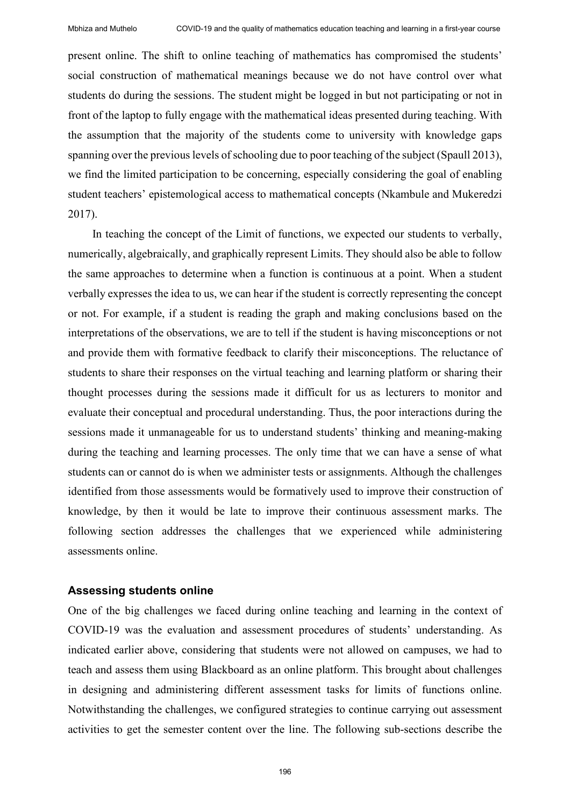present online. The shift to online teaching of mathematics has compromised the students' social construction of mathematical meanings because we do not have control over what students do during the sessions. The student might be logged in but not participating or not in front of the laptop to fully engage with the mathematical ideas presented during teaching. With the assumption that the majority of the students come to university with knowledge gaps spanning over the previous levels of schooling due to poor teaching of the subject (Spaull 2013), we find the limited participation to be concerning, especially considering the goal of enabling student teachers' epistemological access to mathematical concepts (Nkambule and Mukeredzi 2017).

In teaching the concept of the Limit of functions, we expected our students to verbally, numerically, algebraically, and graphically represent Limits. They should also be able to follow the same approaches to determine when a function is continuous at a point. When a student verbally expresses the idea to us, we can hear if the student is correctly representing the concept or not. For example, if a student is reading the graph and making conclusions based on the interpretations of the observations, we are to tell if the student is having misconceptions or not and provide them with formative feedback to clarify their misconceptions. The reluctance of students to share their responses on the virtual teaching and learning platform or sharing their thought processes during the sessions made it difficult for us as lecturers to monitor and evaluate their conceptual and procedural understanding. Thus, the poor interactions during the sessions made it unmanageable for us to understand students' thinking and meaning-making during the teaching and learning processes. The only time that we can have a sense of what students can or cannot do is when we administer tests or assignments. Although the challenges identified from those assessments would be formatively used to improve their construction of knowledge, by then it would be late to improve their continuous assessment marks. The following section addresses the challenges that we experienced while administering assessments online.

#### **Assessing students online**

One of the big challenges we faced during online teaching and learning in the context of COVID-19 was the evaluation and assessment procedures of students' understanding. As indicated earlier above, considering that students were not allowed on campuses, we had to teach and assess them using Blackboard as an online platform. This brought about challenges in designing and administering different assessment tasks for limits of functions online. Notwithstanding the challenges, we configured strategies to continue carrying out assessment activities to get the semester content over the line. The following sub-sections describe the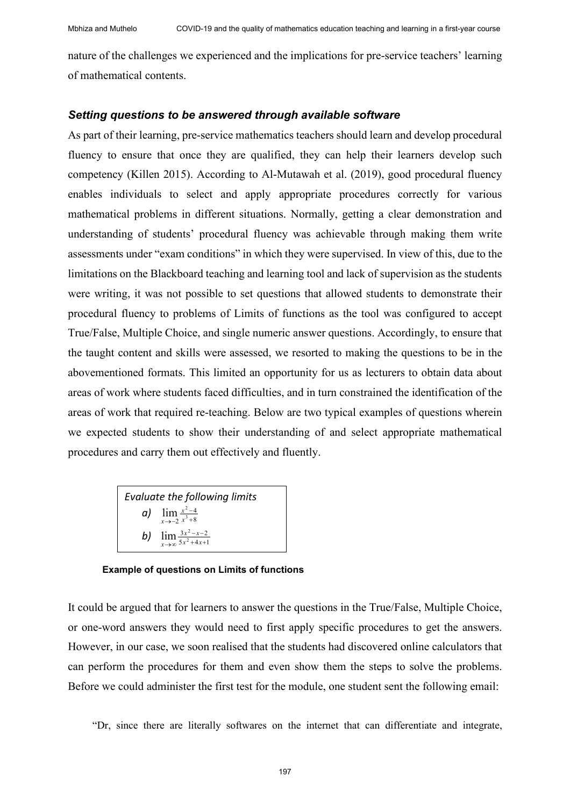nature of the challenges we experienced and the implications for pre-service teachers' learning of mathematical contents.

## *Setting questions to be answered through available software*

As part of their learning, pre-service mathematics teachers should learn and develop procedural fluency to ensure that once they are qualified, they can help their learners develop such competency (Killen 2015). According to Al-Mutawah et al. (2019), good procedural fluency enables individuals to select and apply appropriate procedures correctly for various mathematical problems in different situations. Normally, getting a clear demonstration and understanding of students' procedural fluency was achievable through making them write assessments under "exam conditions" in which they were supervised. In view of this, due to the limitations on the Blackboard teaching and learning tool and lack of supervision as the students were writing, it was not possible to set questions that allowed students to demonstrate their procedural fluency to problems of Limits of functions as the tool was configured to accept True/False, Multiple Choice, and single numeric answer questions. Accordingly, to ensure that the taught content and skills were assessed, we resorted to making the questions to be in the abovementioned formats. This limited an opportunity for us as lecturers to obtain data about areas of work where students faced difficulties, and in turn constrained the identification of the areas of work that required re-teaching. Below are two typical examples of questions wherein we expected students to show their understanding of and select appropriate mathematical procedures and carry them out effectively and fluently.

*Evaluate the following limits a*)  $\lim_{x \to -2} \frac{x^2 - 4}{x^3 + 8}$  $\lim_{x \to -2} \frac{x^2}{x^3 +}$  $\rightarrow -2$ <sup>*x*</sup> *x x b*)  $\lim_{x \to \infty} \frac{3x^2 - x - 2}{5x^2 + 4x + 1}$  $\rightarrow \infty$  5x<sup>2</sup> +4x *x*

**Example of questions on Limits of functions**

It could be argued that for learners to answer the questions in the True/False, Multiple Choice, or one-word answers they would need to first apply specific procedures to get the answers. However, in our case, we soon realised that the students had discovered online calculators that can perform the procedures for them and even show them the steps to solve the problems. Before we could administer the first test for the module, one student sent the following email:

"Dr, since there are literally softwares on the internet that can differentiate and integrate,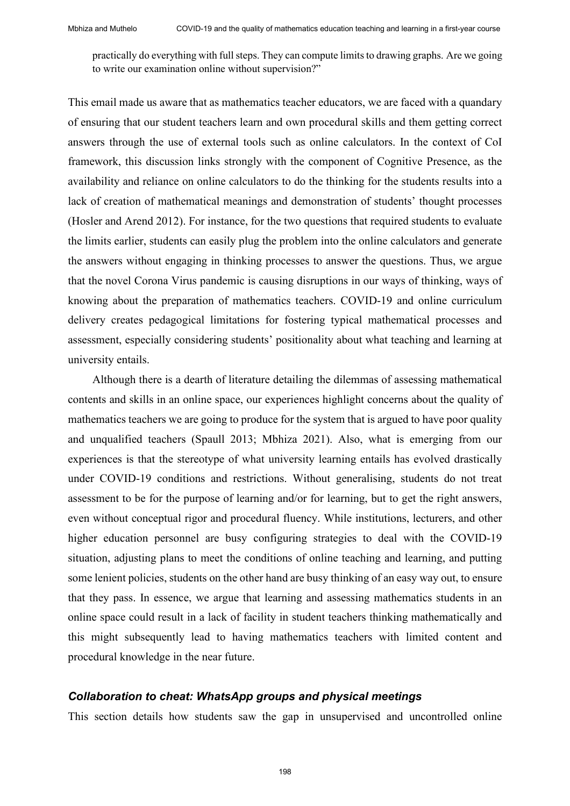practically do everything with full steps. They can compute limits to drawing graphs. Are we going to write our examination online without supervision?"

This email made us aware that as mathematics teacher educators, we are faced with a quandary of ensuring that our student teachers learn and own procedural skills and them getting correct answers through the use of external tools such as online calculators. In the context of CoI framework, this discussion links strongly with the component of Cognitive Presence, as the availability and reliance on online calculators to do the thinking for the students results into a lack of creation of mathematical meanings and demonstration of students' thought processes (Hosler and Arend 2012). For instance, for the two questions that required students to evaluate the limits earlier, students can easily plug the problem into the online calculators and generate the answers without engaging in thinking processes to answer the questions. Thus, we argue that the novel Corona Virus pandemic is causing disruptions in our ways of thinking, ways of knowing about the preparation of mathematics teachers. COVID-19 and online curriculum delivery creates pedagogical limitations for fostering typical mathematical processes and assessment, especially considering students' positionality about what teaching and learning at university entails.

Although there is a dearth of literature detailing the dilemmas of assessing mathematical contents and skills in an online space, our experiences highlight concerns about the quality of mathematics teachers we are going to produce for the system that is argued to have poor quality and unqualified teachers (Spaull 2013; Mbhiza 2021). Also, what is emerging from our experiences is that the stereotype of what university learning entails has evolved drastically under COVID-19 conditions and restrictions. Without generalising, students do not treat assessment to be for the purpose of learning and/or for learning, but to get the right answers, even without conceptual rigor and procedural fluency. While institutions, lecturers, and other higher education personnel are busy configuring strategies to deal with the COVID-19 situation, adjusting plans to meet the conditions of online teaching and learning, and putting some lenient policies, students on the other hand are busy thinking of an easy way out, to ensure that they pass. In essence, we argue that learning and assessing mathematics students in an online space could result in a lack of facility in student teachers thinking mathematically and this might subsequently lead to having mathematics teachers with limited content and procedural knowledge in the near future.

# *Collaboration to cheat: WhatsApp groups and physical meetings*

This section details how students saw the gap in unsupervised and uncontrolled online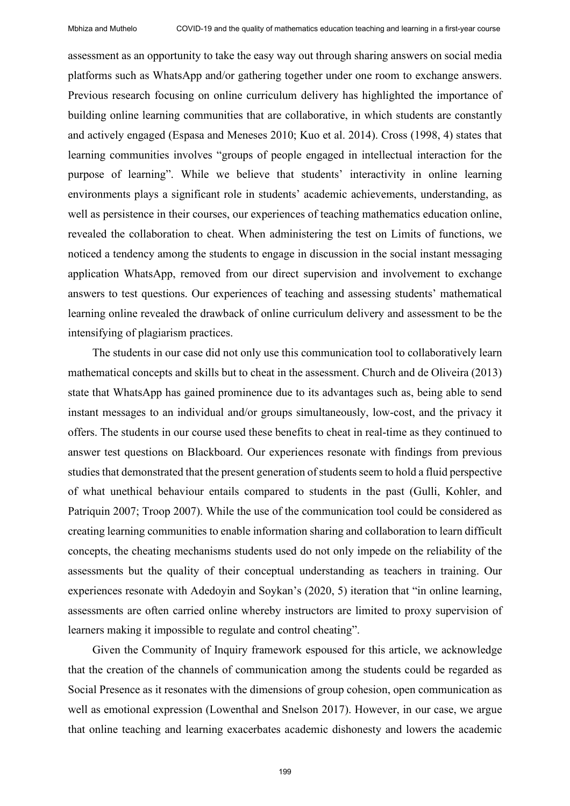assessment as an opportunity to take the easy way out through sharing answers on social media platforms such as WhatsApp and/or gathering together under one room to exchange answers. Previous research focusing on online curriculum delivery has highlighted the importance of building online learning communities that are collaborative, in which students are constantly and actively engaged (Espasa and Meneses 2010; Kuo et al. 2014). Cross (1998, 4) states that learning communities involves "groups of people engaged in intellectual interaction for the purpose of learning". While we believe that students' interactivity in online learning environments plays a significant role in students' academic achievements, understanding, as well as persistence in their courses, our experiences of teaching mathematics education online, revealed the collaboration to cheat. When administering the test on Limits of functions, we noticed a tendency among the students to engage in discussion in the social instant messaging application WhatsApp, removed from our direct supervision and involvement to exchange answers to test questions. Our experiences of teaching and assessing students' mathematical learning online revealed the drawback of online curriculum delivery and assessment to be the intensifying of plagiarism practices.

The students in our case did not only use this communication tool to collaboratively learn mathematical concepts and skills but to cheat in the assessment. Church and de Oliveira (2013) state that WhatsApp has gained prominence due to its advantages such as, being able to send instant messages to an individual and/or groups simultaneously, low-cost, and the privacy it offers. The students in our course used these benefits to cheat in real-time as they continued to answer test questions on Blackboard. Our experiences resonate with findings from previous studies that demonstrated that the present generation of students seem to hold a fluid perspective of what unethical behaviour entails compared to students in the past (Gulli, Kohler, and Patriquin 2007; Troop 2007). While the use of the communication tool could be considered as creating learning communities to enable information sharing and collaboration to learn difficult concepts, the cheating mechanisms students used do not only impede on the reliability of the assessments but the quality of their conceptual understanding as teachers in training. Our experiences resonate with Adedoyin and Soykan's (2020, 5) iteration that "in online learning, assessments are often carried online whereby instructors are limited to proxy supervision of learners making it impossible to regulate and control cheating".

Given the Community of Inquiry framework espoused for this article, we acknowledge that the creation of the channels of communication among the students could be regarded as Social Presence as it resonates with the dimensions of group cohesion, open communication as well as emotional expression (Lowenthal and Snelson 2017). However, in our case, we argue that online teaching and learning exacerbates academic dishonesty and lowers the academic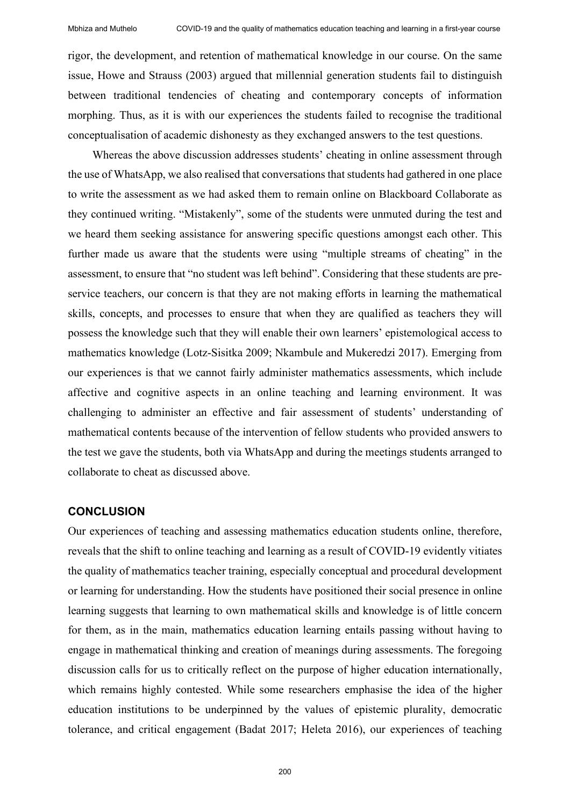rigor, the development, and retention of mathematical knowledge in our course. On the same issue, Howe and Strauss (2003) argued that millennial generation students fail to distinguish between traditional tendencies of cheating and contemporary concepts of information morphing. Thus, as it is with our experiences the students failed to recognise the traditional conceptualisation of academic dishonesty as they exchanged answers to the test questions.

Whereas the above discussion addresses students' cheating in online assessment through the use of WhatsApp, we also realised that conversations that students had gathered in one place to write the assessment as we had asked them to remain online on Blackboard Collaborate as they continued writing. "Mistakenly", some of the students were unmuted during the test and we heard them seeking assistance for answering specific questions amongst each other. This further made us aware that the students were using "multiple streams of cheating" in the assessment, to ensure that "no student was left behind". Considering that these students are preservice teachers, our concern is that they are not making efforts in learning the mathematical skills, concepts, and processes to ensure that when they are qualified as teachers they will possess the knowledge such that they will enable their own learners' epistemological access to mathematics knowledge (Lotz-Sisitka 2009; Nkambule and Mukeredzi 2017). Emerging from our experiences is that we cannot fairly administer mathematics assessments, which include affective and cognitive aspects in an online teaching and learning environment. It was challenging to administer an effective and fair assessment of students' understanding of mathematical contents because of the intervention of fellow students who provided answers to the test we gave the students, both via WhatsApp and during the meetings students arranged to collaborate to cheat as discussed above.

## **CONCLUSION**

Our experiences of teaching and assessing mathematics education students online, therefore, reveals that the shift to online teaching and learning as a result of COVID-19 evidently vitiates the quality of mathematics teacher training, especially conceptual and procedural development or learning for understanding. How the students have positioned their social presence in online learning suggests that learning to own mathematical skills and knowledge is of little concern for them, as in the main, mathematics education learning entails passing without having to engage in mathematical thinking and creation of meanings during assessments. The foregoing discussion calls for us to critically reflect on the purpose of higher education internationally, which remains highly contested. While some researchers emphasise the idea of the higher education institutions to be underpinned by the values of epistemic plurality, democratic tolerance, and critical engagement (Badat 2017; Heleta 2016), our experiences of teaching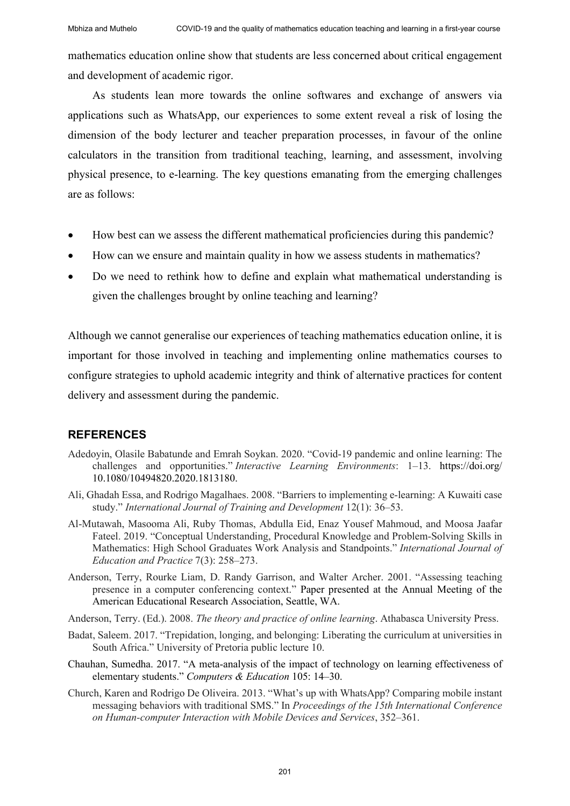mathematics education online show that students are less concerned about critical engagement and development of academic rigor.

As students lean more towards the online softwares and exchange of answers via applications such as WhatsApp, our experiences to some extent reveal a risk of losing the dimension of the body lecturer and teacher preparation processes, in favour of the online calculators in the transition from traditional teaching, learning, and assessment, involving physical presence, to e-learning. The key questions emanating from the emerging challenges are as follows:

- How best can we assess the different mathematical proficiencies during this pandemic?
- How can we ensure and maintain quality in how we assess students in mathematics?
- Do we need to rethink how to define and explain what mathematical understanding is given the challenges brought by online teaching and learning?

Although we cannot generalise our experiences of teaching mathematics education online, it is important for those involved in teaching and implementing online mathematics courses to configure strategies to uphold academic integrity and think of alternative practices for content delivery and assessment during the pandemic.

# **REFERENCES**

- Adedoyin, Olasile Babatunde and Emrah Soykan. 2020. "Covid-19 pandemic and online learning: The challenges and opportunities." *Interactive Learning Environments*: 1-13. https://doi.org/ 10.1080/10494820.2020.1813180.
- Ali, Ghadah Essa, and Rodrigo Magalhaes. 2008. "Barriers to implementing e‐learning: A Kuwaiti case study." *International Journal of Training and Development* 12(1): 36-53.
- Al-Mutawah, Masooma Ali, Ruby Thomas, Abdulla Eid, Enaz Yousef Mahmoud, and Moosa Jaafar Fateel. 2019. "Conceptual Understanding, Procedural Knowledge and Problem-Solving Skills in Mathematics: High School Graduates Work Analysis and Standpoints." *International Journal of Education and Practice* 7(3): 258–273.
- Anderson, Terry, Rourke Liam, D. Randy Garrison, and Walter Archer. 2001. "Assessing teaching presence in a computer conferencing context." Paper presented at the Annual Meeting of the American Educational Research Association, Seattle, WA.
- Anderson, Terry. (Ed.). 2008. *The theory and practice of online learning*. Athabasca University Press.
- Badat, Saleem. 2017. "Trepidation, longing, and belonging: Liberating the curriculum at universities in South Africa." University of Pretoria public lecture 10.
- Chauhan, Sumedha. 2017. "A meta-analysis of the impact of technology on learning effectiveness of elementary students." *Computers & Education* 105: 14‒30.
- Church, Karen and Rodrigo De Oliveira. 2013. "What's up with WhatsApp? Comparing mobile instant messaging behaviors with traditional SMS." In *Proceedings of the 15th International Conference on Human-computer Interaction with Mobile Devices and Services*, 352‒361.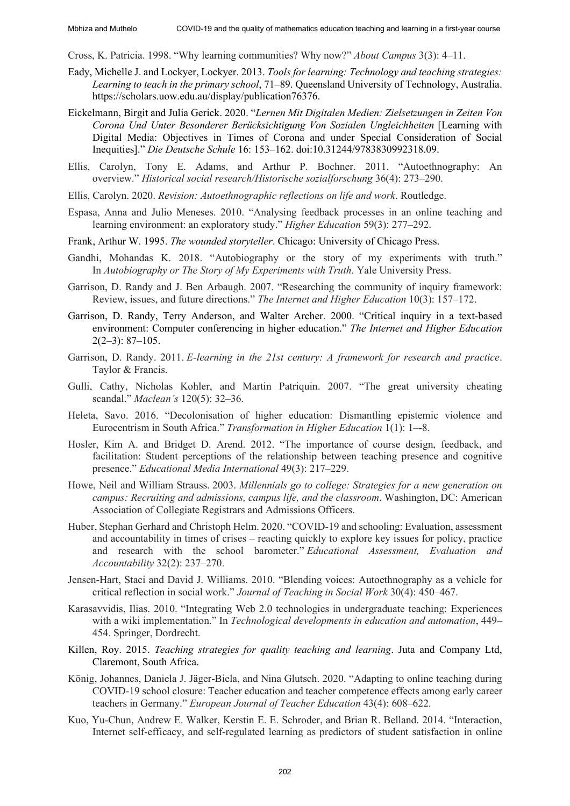Cross, K. Patricia. 1998. "Why learning communities? Why now?" *About Campus* 3(3): 4‒11.

- Eady, Michelle J. and Lockyer, Lockyer. 2013. *Tools for learning: Technology and teaching strategies: Learning to teach in the primary school*, 71‒89. Queensland University of Technology, Australia. https://scholars.uow.edu.au/display/publication76376.
- Eickelmann, Birgit and Julia Gerick. 2020. "*Lernen Mit Digitalen Medien: Zielsetzungen in Zeiten Von Corona Und Unter Besonderer Berücksichtigung Von Sozialen Ungleichheiten* [Learning with Digital Media: Objectives in Times of Corona and under Special Consideration of Social Inequities]." *Die Deutsche Schule* 16: 153–162. doi:10.31244/9783830992318.09.
- Ellis, Carolyn, Tony E. Adams, and Arthur P. Bochner. 2011. "Autoethnography: An overview." *Historical social research/Historische sozialforschung* 36(4): 273–290.
- Ellis, Carolyn. 2020. *Revision: Autoethnographic reflections on life and work*. Routledge.
- Espasa, Anna and Julio Meneses. 2010. "Analysing feedback processes in an online teaching and learning environment: an exploratory study." *Higher Education* 59(3): 277-292.
- Frank, Arthur W. 1995. *The wounded storyteller*. Chicago: University of Chicago Press.
- Gandhi, Mohandas K. 2018. "Autobiography or the story of my experiments with truth." In *Autobiography or The Story of My Experiments with Truth*. Yale University Press.
- Garrison, D. Randy and J. Ben Arbaugh. 2007. "Researching the community of inquiry framework: Review, issues, and future directions." *The Internet and Higher Education* 10(3): 157–172.
- Garrison, D. Randy, Terry Anderson, and Walter Archer. 2000. "Critical inquiry in a text-based environment: Computer conferencing in higher education." *The Internet and Higher Education* 2(2–3): 87–105.
- Garrison, D. Randy. 2011. *E-learning in the 21st century: A framework for research and practice*. Taylor & Francis.
- Gulli, Cathy, Nicholas Kohler, and Martin Patriquin. 2007. "The great university cheating scandal." *Maclean's* 120(5): 32–36.
- Heleta, Savo. 2016. "Decolonisation of higher education: Dismantling epistemic violence and Eurocentrism in South Africa." *Transformation in Higher Education* 1(1): 1‒-8.
- Hosler, Kim A. and Bridget D. Arend. 2012. "The importance of course design, feedback, and facilitation: Student perceptions of the relationship between teaching presence and cognitive presence." *Educational Media International* 49(3): 217–229.
- Howe, Neil and William Strauss. 2003. *Millennials go to college: Strategies for a new generation on campus: Recruiting and admissions, campus life, and the classroom*. Washington, DC: American Association of Collegiate Registrars and Admissions Officers.
- Huber, Stephan Gerhard and Christoph Helm. 2020. "COVID-19 and schooling: Evaluation, assessment and accountability in times of crises – reacting quickly to explore key issues for policy, practice and research with the school barometer." *Educational Assessment, Evaluation and Accountability* 32(2): 237‒270.
- Jensen-Hart, Staci and David J. Williams. 2010. "Blending voices: Autoethnography as a vehicle for critical reflection in social work." *Journal of Teaching in Social Work* 30(4): 450‒467.
- Karasavvidis, Ilias. 2010. "Integrating Web 2.0 technologies in undergraduate teaching: Experiences with a wiki implementation." In *Technological developments in education and automation*, 449– 454. Springer, Dordrecht.
- Killen, Roy. 2015. *Teaching strategies for quality teaching and learning*. Juta and Company Ltd, Claremont, South Africa.
- König, Johannes, Daniela J. Jäger-Biela, and Nina Glutsch. 2020. "Adapting to online teaching during COVID-19 school closure: Teacher education and teacher competence effects among early career teachers in Germany." *European Journal of Teacher Education* 43(4): 608–622.
- Kuo, Yu-Chun, Andrew E. Walker, Kerstin E. E. Schroder, and Brian R. Belland. 2014. "Interaction, Internet self-efficacy, and self-regulated learning as predictors of student satisfaction in online